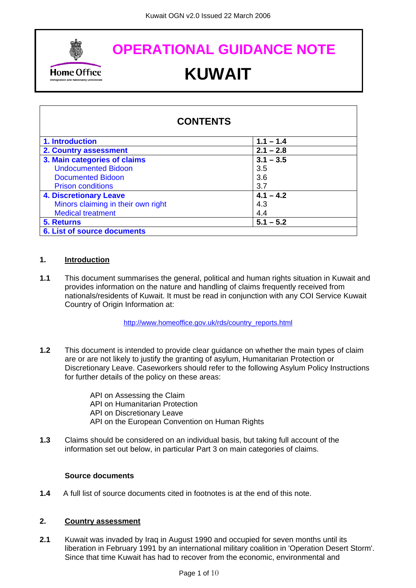<span id="page-0-0"></span>

# **OPERATIONAL GUIDANCE NOTE Home Office CHOOK CONGLET**

| <b>CONTENTS</b>                    |             |
|------------------------------------|-------------|
| 1. Introduction                    | $1.1 - 1.4$ |
| 2. Country assessment              | $2.1 - 2.8$ |
| 3. Main categories of claims       | $3.1 - 3.5$ |
| <b>Undocumented Bidoon</b>         | 3.5         |
| Documented Bidoon                  | 3.6         |
| <b>Prison conditions</b>           | 3.7         |
| <b>4. Discretionary Leave</b>      | $4.1 - 4.2$ |
| Minors claiming in their own right | 4.3         |
| <b>Medical treatment</b>           | 4.4         |
| <b>5. Returns</b>                  | $5.1 - 5.2$ |
| <b>6. List of source documents</b> |             |

# **1. Introduction**

**1.1** This document summarises the general, political and human rights situation in Kuwait and provides information on the nature and handling of claims frequently received from nationals/residents of Kuwait. It must be read in conjunction with any COI Service Kuwait Country of Origin Information at:

[http://www.homeoffice.gov.uk/rds/country\\_reports.html](http://www.homeoffice.gov.uk/rds/country_reports.html)

**1.2** This document is intended to provide clear guidance on whether the main types of claim are or are not likely to justify the granting of asylum, Humanitarian Protection or Discretionary Leave. Caseworkers should refer to the following Asylum Policy Instructions for further details of the policy on these areas:

> API on Assessing the Claim API on Humanitarian Protection API on Discretionary Leave API on the European Convention on Human Rights

**1.3** Claims should be considered on an individual basis, but taking full account of the information set out below, in particular Part 3 on main categories of claims.

# **Source documents**

**1.4** A full list of source documents cited in footnotes is at the end of this note.

# **2. Country assessment**

**2.1** Kuwait was invaded by Iraq in August 1990 and occupied for seven months until its liberation in February 1991 by an international military coalition in 'Operation Desert Storm'. Since that time Kuwait has had to recover from the economic, environmental and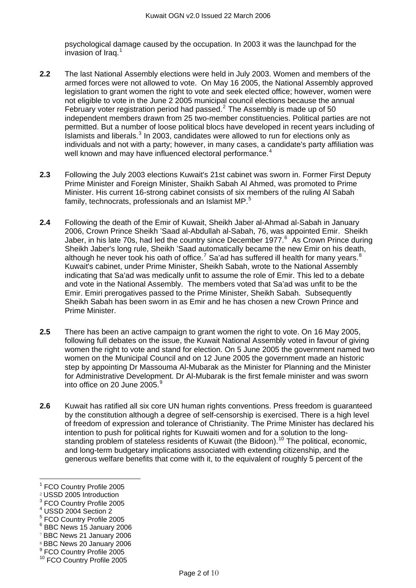psychological damage caused by the occupation. In 2003 it was the launchpad for the invasion of Iraq.[1](#page-1-0)

- **2.2** The last National Assembly elections were held in July 2003. Women and members of the armed forces were not allowed to vote. On May 16 2005, the National Assembly approved legislation to grant women the right to vote and seek elected office; however, women were not eligible to vote in the June 2 2005 municipal council elections because the annual February voter registration period had passed. $2$  The Assembly is made up of 50 independent members drawn from 25 two-member constituencies. Political parties are not permitted. But a number of loose political blocs have developed in recent years including of Islamists and liberals. $<sup>3</sup>$  $<sup>3</sup>$  $<sup>3</sup>$  In 2003, candidates were allowed to run for elections only as</sup> individuals and not with a party; however, in many cases, a candidate's party affiliation was well known and may have influenced electoral performance.<sup>[4](#page-1-3)</sup>
- **2.3** Following the July 2003 elections Kuwait's 21st cabinet was sworn in. Former First Deputy Prime Minister and Foreign Minister, Shaikh Sabah Al Ahmed, was promoted to Prime Minister. His current 16-strong cabinet consists of six members of the ruling Al Sabah family, technocrats, professionals and an Islamist MP.<sup>[5](#page-1-4)</sup>
- **2.4** Following the death of the Emir of Kuwait, Sheikh Jaber al-Ahmad al-Sabah in January 2006, Crown Prince Sheikh 'Saad al-Abdullah al-Sabah, 76, was appointed Emir. Sheikh Jaber, in his late 70s, had led the country since December 1977.<sup>[6](#page-1-5)</sup> As Crown Prince during Sheikh Jaber's long rule, Sheikh 'Saad automatically became the new Emir on his death, although he never took his oath of office.<sup>[7](#page-1-6)</sup> Sa'ad has suffered ill health for many years.<sup>[8](#page-1-7)</sup> Kuwait's cabinet, under Prime Minister, Sheikh Sabah, wrote to the National Assembly indicating that Sa'ad was medically unfit to assume the role of Emir. This led to a debate and vote in the National Assembly. The members voted that Sa'ad was unfit to be the Emir. Emiri prerogatives passed to the Prime Minister, Sheikh Sabah. Subsequently Sheikh Sabah has been sworn in as Emir and he has chosen a new Crown Prince and Prime Minister.
- **2.5** There has been an active campaign to grant women the right to vote. On 16 May 2005, following full debates on the issue, the Kuwait National Assembly voted in favour of giving women the right to vote and stand for election. On 5 June 2005 the government named two women on the Municipal Council and on 12 June 2005 the government made an historic step by appointing Dr Massouma Al-Mubarak as the Minister for Planning and the Minister for Administrative Development. Dr Al-Mubarak is the first female minister and was sworn into office on 20 June 2005. $\frac{9}{5}$  $\frac{9}{5}$  $\frac{9}{5}$
- **2.6** Kuwait has ratified all six core UN human rights conventions. Press freedom is guaranteed by the constitution although a degree of self-censorship is exercised. There is a high level of freedom of expression and tolerance of Christianity. The Prime Minister has declared his intention to push for political rights for Kuwaiti women and for a solution to the long-standing problem of stateless residents of Kuwait (the Bidoon).<sup>[10](#page-1-9)</sup> The political, economic, and long-term budgetary implications associated with extending citizenship, and the generous welfare benefits that come with it, to the equivalent of roughly 5 percent of the

- <span id="page-1-4"></span>5 FCO Country Profile 2005
- <span id="page-1-5"></span>6 BBC News 15 January 2006

- <span id="page-1-7"></span><sup>8</sup> BBC News 20 January 2006
- <span id="page-1-8"></span>9 FCO Country Profile 2005
- <span id="page-1-9"></span>10 FCO Country Profile 2005

<span id="page-1-0"></span><sup>1</sup> FCO Country Profile 2005

<span id="page-1-1"></span><sup>2</sup> USSD 2005 Introduction

<span id="page-1-2"></span><sup>&</sup>lt;sup>3</sup> FCO Country Profile 2005

<span id="page-1-3"></span><sup>4</sup> USSD 2004 Section 2

<span id="page-1-6"></span><sup>7</sup> BBC News 21 January 2006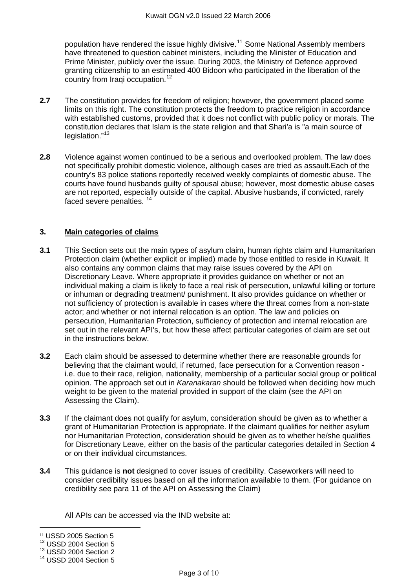<span id="page-2-0"></span>population have rendered the issue highly divisive.<sup>[11](#page-2-1)</sup> Some National Assembly members have threatened to question cabinet ministers, including the Minister of Education and Prime Minister, publicly over the issue. During 2003, the Ministry of Defence approved granting citizenship to an estimated 400 Bidoon who participated in the liberation of the country from Iragi occupation.<sup>[12](#page-2-2)</sup>

- **2.7** The constitution provides for freedom of religion; however, the government placed some limits on this right. The constitution protects the freedom to practice religion in accordance with established customs, provided that it does not conflict with public policy or morals. The constitution declares that Islam is the state religion and that Shari'a is "a main source of legislation."<sup>[13](#page-2-3)</sup>
- **2.8** Violence against women continued to be a serious and overlooked problem. The law does not specifically prohibit domestic violence, although cases are tried as assault.Each of the country's 83 police stations reportedly received weekly complaints of domestic abuse. The courts have found husbands guilty of spousal abuse; however, most domestic abuse cases are not reported, especially outside of the capital. Abusive husbands, if convicted, rarely faced severe penalties.<sup>[14](#page-2-4)</sup>

## **3. Main categories of claims**

- **3.1** This Section sets out the main types of asylum claim, human rights claim and Humanitarian Protection claim (whether explicit or implied) made by those entitled to reside in Kuwait. It also contains any common claims that may raise issues covered by the API on Discretionary Leave. Where appropriate it provides guidance on whether or not an individual making a claim is likely to face a real risk of persecution, unlawful killing or torture or inhuman or degrading treatment/ punishment. It also provides guidance on whether or not sufficiency of protection is available in cases where the threat comes from a non-state actor; and whether or not internal relocation is an option. The law and policies on persecution, Humanitarian Protection, sufficiency of protection and internal relocation are set out in the relevant API's, but how these affect particular categories of claim are set out in the instructions below.
- **3.2** Each claim should be assessed to determine whether there are reasonable grounds for believing that the claimant would, if returned, face persecution for a Convention reason i.e. due to their race, religion, nationality, membership of a particular social group or political opinion. The approach set out in *Karanakaran* should be followed when deciding how much weight to be given to the material provided in support of the claim (see the API on Assessing the Claim).
- **3.3** If the claimant does not qualify for asylum, consideration should be given as to whether a grant of Humanitarian Protection is appropriate. If the claimant qualifies for neither asylum nor Humanitarian Protection, consideration should be given as to whether he/she qualifies for Discretionary Leave, either on the basis of the particular categories detailed in Section 4 or on their individual circumstances.
- **3.4** This guidance is **not** designed to cover issues of credibility. Caseworkers will need to consider credibility issues based on all the information available to them. (For guidance on credibility see para 11 of the API on Assessing the Claim)

All APIs can be accessed via the IND website at:

<span id="page-2-1"></span><sup>11</sup> USSD 2005 Section 5

<span id="page-2-2"></span><sup>&</sup>lt;sup>12</sup> USSD 2004 Section 5

<span id="page-2-3"></span><sup>&</sup>lt;sup>13</sup> USSD 2004 Section 2

<span id="page-2-4"></span><sup>&</sup>lt;sup>14</sup> USSD 2004 Section 5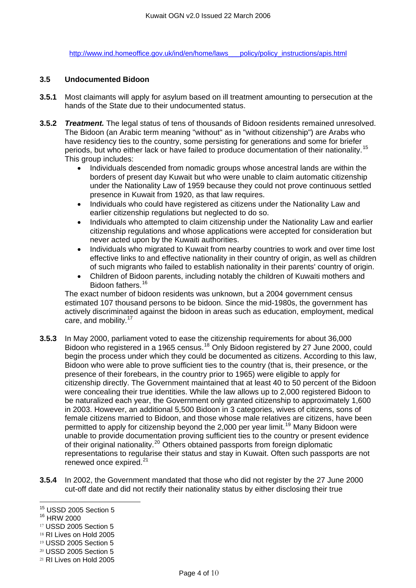[http://www.ind.homeoffice.gov.uk/ind/en/home/laws\\_\\_\\_policy/policy\\_instructions/apis.html](http://www.ind.homeoffice.gov.uk/ind/en/home/laws___policy/policy_instructions/apis.html)

#### **3.5 Undocumented Bidoon**

- **3.5.1** Most claimants will apply for asylum based on ill treatment amounting to persecution at the hands of the State due to their undocumented status.
- **3.5.2** *Treatment.* The legal status of tens of thousands of Bidoon residents remained unresolved. The Bidoon (an Arabic term meaning "without" as in "without citizenship") are Arabs who have residency ties to the country, some persisting for generations and some for briefer periods, but who either lack or have failed to produce documentation of their nationality.[15](#page-3-0) This group includes:
	- Individuals descended from nomadic groups whose ancestral lands are within the borders of present day Kuwait but who were unable to claim automatic citizenship under the Nationality Law of 1959 because they could not prove continuous settled presence in Kuwait from 1920, as that law requires.
	- Individuals who could have registered as citizens under the Nationality Law and earlier citizenship regulations but neglected to do so.
	- Individuals who attempted to claim citizenship under the Nationality Law and earlier citizenship regulations and whose applications were accepted for consideration but never acted upon by the Kuwaiti authorities.
	- Individuals who migrated to Kuwait from nearby countries to work and over time lost effective links to and effective nationality in their country of origin, as well as children of such migrants who failed to establish nationality in their parents' country of origin.
	- Children of Bidoon parents, including notably the children of Kuwaiti mothers and Bidoon fathers.<sup>[16](#page-3-1)</sup>

The exact number of bidoon residents was unknown, but a 2004 government census estimated 107 thousand persons to be bidoon. Since the mid-1980s, the government has actively discriminated against the bidoon in areas such as education, employment, medical care, and mobility.<sup>[17](#page-3-2)</sup>

- **3.5.3** In May 2000, parliament voted to ease the citizenship requirements for about 36,000 Bidoon who registered in a 1965 census.[18](#page-3-3) Only Bidoon registered by 27 June 2000, could begin the process under which they could be documented as citizens. According to this law, Bidoon who were able to prove sufficient ties to the country (that is, their presence, or the presence of their forebears, in the country prior to 1965) were eligible to apply for citizenship directly. The Government maintained that at least 40 to 50 percent of the Bidoon were concealing their true identities. While the law allows up to 2,000 registered Bidoon to be naturalized each year, the Government only granted citizenship to approximately 1,600 in 2003. However, an additional 5,500 Bidoon in 3 categories, wives of citizens, sons of female citizens married to Bidoon, and those whose male relatives are citizens, have been permitted to apply for citizenship beyond the 2,000 per year limit.<sup>[19](#page-3-4)</sup> Many Bidoon were unable to provide documentation proving sufficient ties to the country or present evidence of their original nationality.<sup>[20](#page-3-5)</sup> Others obtained passports from foreign diplomatic representations to regularise their status and stay in Kuwait. Often such passports are not renewed once expired.<sup>[21](#page-3-6)</sup>
- **3.5.4** In 2002, the Government mandated that those who did not register by the 27 June 2000 cut-off date and did not rectify their nationality status by either disclosing their true

<span id="page-3-1"></span>16 HRW 2000

- <span id="page-3-3"></span><sup>18</sup> RI Lives on Hold 2005
- <span id="page-3-4"></span><sup>19</sup> USSD 2005 Section 5
- <span id="page-3-5"></span><sup>20</sup> USSD 2005 Section 5

<span id="page-3-0"></span><sup>&</sup>lt;sup>15</sup> USSD 2005 Section 5

<span id="page-3-2"></span><sup>17</sup> USSD 2005 Section 5

<span id="page-3-6"></span><sup>21</sup> RI Lives on Hold 2005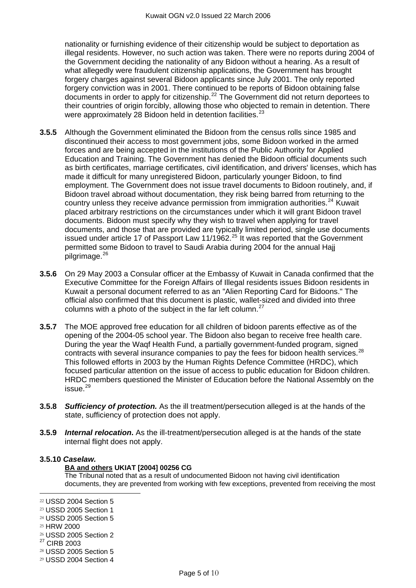nationality or furnishing evidence of their citizenship would be subject to deportation as illegal residents. However, no such action was taken. There were no reports during 2004 of the Government deciding the nationality of any Bidoon without a hearing. As a result of what allegedly were fraudulent citizenship applications, the Government has brought forgery charges against several Bidoon applicants since July 2001. The only reported forgery conviction was in 2001. There continued to be reports of Bidoon obtaining false documents in order to apply for citizenship.<sup>[22](#page-4-0)</sup> The Government did not return deportees to their countries of origin forcibly, allowing those who objected to remain in detention. There were approximately 28 Bidoon held in detention facilities. $^{23}$  $^{23}$  $^{23}$ 

- **3.5.5** Although the Government eliminated the Bidoon from the census rolls since 1985 and discontinued their access to most government jobs, some Bidoon worked in the armed forces and are being accepted in the institutions of the Public Authority for Applied Education and Training. The Government has denied the Bidoon official documents such as birth certificates, marriage certificates, civil identification, and drivers' licenses, which has made it difficult for many unregistered Bidoon, particularly younger Bidoon, to find employment. The Government does not issue travel documents to Bidoon routinely, and, if Bidoon travel abroad without documentation, they risk being barred from returning to the country unless they receive advance permission from immigration authorities.<sup>[24](#page-4-2)</sup> Kuwait placed arbitrary restrictions on the circumstances under which it will grant Bidoon travel documents. Bidoon must specify why they wish to travel when applying for travel documents, and those that are provided are typically limited period, single use documents issued under article 17 of Passport Law 11/1962.<sup>[25](#page-4-3)</sup> It was reported that the Government permitted some Bidoon to travel to Saudi Arabia during 2004 for the annual Hajj  $pi$ pilgrimage. $26$
- **3.5.6** On 29 May 2003 a Consular officer at the Embassy of Kuwait in Canada confirmed that the Executive Committee for the Foreign Affairs of Illegal residents issues Bidoon residents in Kuwait a personal document referred to as an "Alien Reporting Card for Bidoons." The official also confirmed that this document is plastic, wallet-sized and divided into three columns with a photo of the subject in the far left column. $^{27}$  $^{27}$  $^{27}$
- **3.5.7** The MOE approved free education for all children of bidoon parents effective as of the opening of the 2004-05 school year. The Bidoon also began to receive free health care. During the year the Waqf Health Fund, a partially government-funded program, signed contracts with several insurance companies to pay the fees for bidoon health services.<sup>[28](#page-4-6)</sup> This followed efforts in 2003 by the Human Rights Defence Committee (HRDC), which focused particular attention on the issue of access to public education for Bidoon children. HRDC members questioned the Minister of Education before the National Assembly on the issue.[29](#page-4-7)
- **3.5.8** *Sufficiency of protection.* As the ill treatment/persecution alleged is at the hands of the state, sufficiency of protection does not apply.
- **3.5.9** *Internal relocation***.** As the ill-treatment/persecution alleged is at the hands of the state internal flight does not apply.

#### **3.5.10** *Caselaw.*

#### **BA and others UKIAT [2004] 00256 CG**

The Tribunal noted that as a result of undocumented Bidoon not having civil identification documents, they are prevented from working with few exceptions, prevented from receiving the most

- <span id="page-4-2"></span><sup>24</sup> USSD 2005 Section 5
- <span id="page-4-3"></span><sup>25</sup> HRW 2000

- <span id="page-4-4"></span><sup>26</sup> USSD 2005 Section 2
- <span id="page-4-5"></span>27 CIRB 2003
- <span id="page-4-6"></span><sup>28</sup> USSD 2005 Section 5
- <span id="page-4-7"></span><sup>29</sup> USSD 2004 Section 4

<span id="page-4-0"></span><sup>22</sup> USSD 2004 Section 5

<span id="page-4-1"></span><sup>23</sup> USSD 2005 Section 1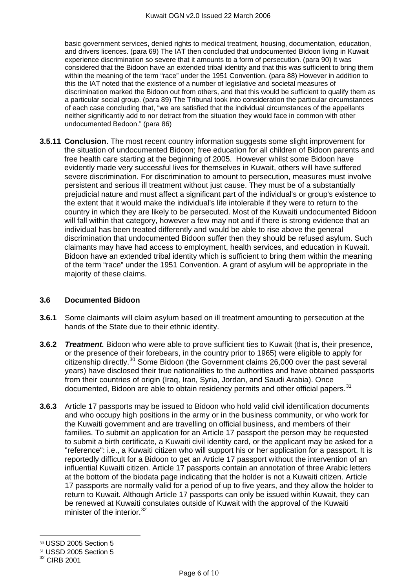basic government services, denied rights to medical treatment, housing, documentation, education, and drivers licences. (para 69) The IAT then concluded that undocumented Bidoon living in Kuwait experience discrimination so severe that it amounts to a form of persecution. (para 90) It was considered that the Bidoon have an extended tribal identity and that this was sufficient to bring them within the meaning of the term "race" under the 1951 Convention. (para 88) However in addition to this the IAT noted that the existence of a number of legislative and societal measures of discrimination marked the Bidoon out from others, and that this would be sufficient to qualify them as a particular social group. (para 89) The Tribunal took into consideration the particular circumstances of each case concluding that, "we are satisfied that the individual circumstances of the appellants neither significantly add to nor detract from the situation they would face in common with other undocumented Bedoon." (para 86)

**3.5.11 Conclusion.** The most recent country information suggests some slight improvement for the situation of undocumented Bidoon; free education for all children of Bidoon parents and free health care starting at the beginning of 2005. However whilst some Bidoon have evidently made very successful lives for themselves in Kuwait, others will have suffered severe discrimination. For discrimination to amount to persecution, measures must involve persistent and serious ill treatment without just cause. They must be of a substantially prejudicial nature and must affect a significant part of the individual's or group's existence to the extent that it would make the individual's life intolerable if they were to return to the country in which they are likely to be persecuted. Most of the Kuwaiti undocumented Bidoon will fall within that category, however a few may not and if there is strong evidence that an individual has been treated differently and would be able to rise above the general discrimination that undocumented Bidoon suffer then they should be refused asylum. Such claimants may have had access to employment, health services, and education in Kuwait. Bidoon have an extended tribal identity which is sufficient to bring them within the meaning of the term "race" under the 1951 Convention. A grant of asylum will be appropriate in the majority of these claims.

#### **3.6 Documented Bidoon**

- **3.6.1** Some claimants will claim asylum based on ill treatment amounting to persecution at the hands of the State due to their ethnic identity.
- **3.6.2** *Treatment.* Bidoon who were able to prove sufficient ties to Kuwait (that is, their presence, or the presence of their forebears, in the country prior to 1965) were eligible to apply for citizenship directly.<sup>[30](#page-5-0)</sup> Some Bidoon (the Government claims  $26,000$  over the past several years) have disclosed their true nationalities to the authorities and have obtained passports from their countries of origin (Iraq, Iran, Syria, Jordan, and Saudi Arabia). Once documented, Bidoon are able to obtain residency permits and other official papers. $31$
- **3.6.3** Article 17 passports may be issued to Bidoon who hold valid civil identification documents and who occupy high positions in the army or in the business community, or who work for the Kuwaiti government and are travelling on official business, and members of their families. To submit an application for an Article 17 passport the person may be requested to submit a birth certificate, a Kuwaiti civil identity card, or the applicant may be asked for a "reference": i.e., a Kuwaiti citizen who will support his or her application for a passport. It is reportedly difficult for a Bidoon to get an Article 17 passport without the intervention of an influential Kuwaiti citizen. Article 17 passports contain an annotation of three Arabic letters at the bottom of the biodata page indicating that the holder is not a Kuwaiti citizen. Article 17 passports are normally valid for a period of up to five years, and they allow the holder to return to Kuwait. Although Article 17 passports can only be issued within Kuwait, they can be renewed at Kuwaiti consulates outside of Kuwait with the approval of the Kuwaiti minister of the interior.<sup>[32](#page-5-2)</sup>

<span id="page-5-0"></span><sup>30</sup> USSD 2005 Section 5

<span id="page-5-1"></span><sup>31</sup> USSD 2005 Section 5

<span id="page-5-2"></span><sup>&</sup>lt;sup>32</sup> CIRB 2001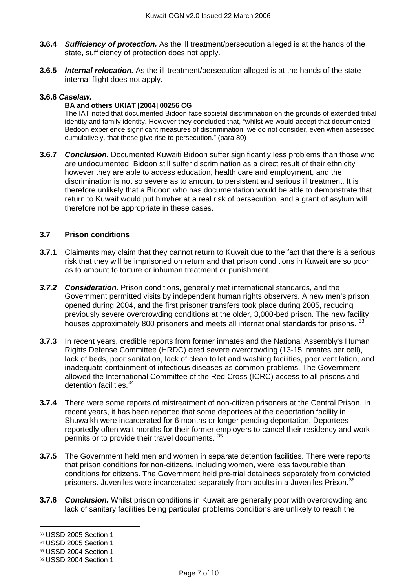- <span id="page-6-0"></span>**3.6.4** *Sufficiency of protection.* As the ill treatment/persecution alleged is at the hands of the state, sufficiency of protection does not apply.
- **3.6.5** *Internal relocation.* As the ill-treatment/persecution alleged is at the hands of the state internal flight does not apply.

## **3.6.6** *Caselaw.*

#### **BA and others UKIAT [2004] 00256 CG**

The IAT noted that documented Bidoon face societal discrimination on the grounds of extended tribal identity and family identity. However they concluded that, "whilst we would accept that documented Bedoon experience significant measures of discrimination, we do not consider, even when assessed cumulatively, that these give rise to persecution." (para 80)

**3.6.7** *Conclusion.* Documented Kuwaiti Bidoon suffer significantly less problems than those who are undocumented. Bidoon still suffer discrimination as a direct result of their ethnicity however they are able to access education, health care and employment, and the discrimination is not so severe as to amount to persistent and serious ill treatment. It is therefore unlikely that a Bidoon who has documentation would be able to demonstrate that return to Kuwait would put him/her at a real risk of persecution, and a grant of asylum will therefore not be appropriate in these cases.

# **3.7 Prison conditions**

- **3.7.1** Claimants may claim that they cannot return to Kuwait due to the fact that there is a serious risk that they will be imprisoned on return and that prison conditions in Kuwait are so poor as to amount to torture or inhuman treatment or punishment.
- *3.7.2 Consideration.* Prison conditions, generally met international standards, and the Government permitted visits by independent human rights observers. A new men's prison opened during 2004, and the first prisoner transfers took place during 2005, reducing previously severe overcrowding conditions at the older, 3,000-bed prison. The new facility houses approximately 800 prisoners and meets all international standards for prisons.<sup>[33](#page-6-1)</sup>
- **3.7.3** In recent years, credible reports from former inmates and the National Assembly's Human Rights Defense Committee (HRDC) cited severe overcrowding (13-15 inmates per cell), lack of beds, poor sanitation, lack of clean toilet and washing facilities, poor ventilation, and inadequate containment of infectious diseases as common problems. The Government allowed the International Committee of the Red Cross (ICRC) access to all prisons and detention facilities.<sup>[34](#page-6-2)</sup>
- **3.7.4** There were some reports of mistreatment of non-citizen prisoners at the Central Prison. In recent years, it has been reported that some deportees at the deportation facility in Shuwaikh were incarcerated for 6 months or longer pending deportation. Deportees reportedly often wait months for their former employers to cancel their residency and work permits or to provide their travel documents. [35](#page-6-3)
- **3.7.5** The Government held men and women in separate detention facilities. There were reports that prison conditions for non-citizens, including women, were less favourable than conditions for citizens. The Government held pre-trial detainees separately from convicted prisoners. Juveniles were incarcerated separately from adults in a Juveniles Prison.<sup>[36](#page-6-4)</sup>
- **3.7.6** *Conclusion.* Whilst prison conditions in Kuwait are generally poor with overcrowding and lack of sanitary facilities being particular problems conditions are unlikely to reach the

<span id="page-6-1"></span><sup>33</sup> USSD 2005 Section 1

<span id="page-6-2"></span><sup>34</sup> USSD 2005 Section 1

<span id="page-6-3"></span><sup>35</sup> USSD 2004 Section 1

<span id="page-6-4"></span><sup>36</sup> USSD 2004 Section 1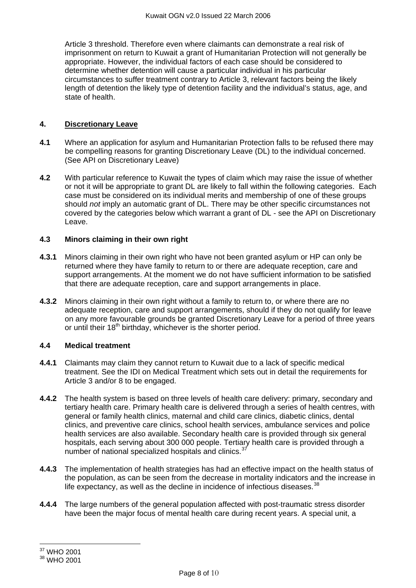<span id="page-7-0"></span>Article 3 threshold. Therefore even where claimants can demonstrate a real risk of imprisonment on return to Kuwait a grant of Humanitarian Protection will not generally be appropriate. However, the individual factors of each case should be considered to determine whether detention will cause a particular individual in his particular circumstances to suffer treatment contrary to Article 3, relevant factors being the likely length of detention the likely type of detention facility and the individual's status, age, and state of health.

# **4. Discretionary Leave**

- **4.1** Where an application for asylum and Humanitarian Protection falls to be refused there may be compelling reasons for granting Discretionary Leave (DL) to the individual concerned. (See API on Discretionary Leave)
- **4.2** With particular reference to Kuwait the types of claim which may raise the issue of whether or not it will be appropriate to grant DL are likely to fall within the following categories. Each case must be considered on its individual merits and membership of one of these groups should *not* imply an automatic grant of DL. There may be other specific circumstances not covered by the categories below which warrant a grant of DL - see the API on Discretionary Leave.

## **4.3 Minors claiming in their own right**

- **4.3.1** Minors claiming in their own right who have not been granted asylum or HP can only be returned where they have family to return to or there are adequate reception, care and support arrangements. At the moment we do not have sufficient information to be satisfied that there are adequate reception, care and support arrangements in place.
- **4.3.2** Minors claiming in their own right without a family to return to, or where there are no adequate reception, care and support arrangements, should if they do not qualify for leave on any more favourable grounds be granted Discretionary Leave for a period of three years or until their  $18<sup>th</sup>$  birthday, whichever is the shorter period.

# **4.4 Medical treatment**

- **4.4.1** Claimants may claim they cannot return to Kuwait due to a lack of specific medical treatment. See the IDI on Medical Treatment which sets out in detail the requirements for Article 3 and/or 8 to be engaged.
- **4.4.2** The health system is based on three levels of health care delivery: primary, secondary and tertiary health care. Primary health care is delivered through a series of health centres, with general or family health clinics, maternal and child care clinics, diabetic clinics, dental clinics, and preventive care clinics, school health services, ambulance services and police health services are also available. Secondary health care is provided through six general hospitals, each serving about 300 000 people. Tertiary health care is provided through a number of national specialized hospitals and clinics.<sup>[37](#page-7-1)</sup>
- **4.4.3** The implementation of health strategies has had an effective impact on the health status of the population, as can be seen from the decrease in mortality indicators and the increase in life expectancy, as well as the decline in incidence of infectious diseases.<sup>[38](#page-7-2)</sup>
- **4.4.4** The large numbers of the general population affected with post-traumatic stress disorder have been the major focus of mental health care during recent years. A special unit, a

 $\overline{a}$ 37 WHO 2001

<span id="page-7-2"></span><span id="page-7-1"></span><sup>38</sup> WHO 2001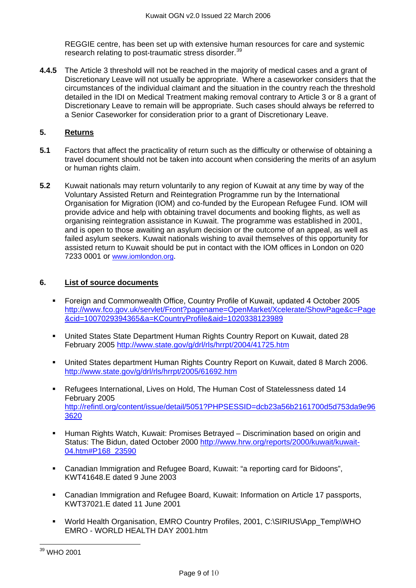<span id="page-8-0"></span>REGGIE centre, has been set up with extensive human resources for care and systemic research relating to post-traumatic stress disorder.[39](#page-8-1)

**4.4.5** The Article 3 threshold will not be reached in the majority of medical cases and a grant of Discretionary Leave will not usually be appropriate. Where a caseworker considers that the circumstances of the individual claimant and the situation in the country reach the threshold detailed in the IDI on Medical Treatment making removal contrary to Article 3 or 8 a grant of Discretionary Leave to remain will be appropriate. Such cases should always be referred to a Senior Caseworker for consideration prior to a grant of Discretionary Leave.

# **5. Returns**

- **5.1** Factors that affect the practicality of return such as the difficulty or otherwise of obtaining a travel document should not be taken into account when considering the merits of an asylum or human rights claim.
- **5.2** Kuwait nationals may return voluntarily to any region of Kuwait at any time by way of the Voluntary Assisted Return and Reintegration Programme run by the International Organisation for Migration (IOM) and co-funded by the European Refugee Fund. IOM will provide advice and help with obtaining travel documents and booking flights, as well as organising reintegration assistance in Kuwait. The programme was established in 2001, and is open to those awaiting an asylum decision or the outcome of an appeal, as well as failed asylum seekers. Kuwait nationals wishing to avail themselves of this opportunity for assisted return to Kuwait should be put in contact with the IOM offices in London on 020 7233 0001 or [www.iomlondon.org](http://www.iomlondon.org/).

## **6. List of source documents**

- Foreign and Commonwealth Office, Country Profile of Kuwait, updated 4 October 2005 [http://www.fco.gov.uk/servlet/Front?pagename=OpenMarket/Xcelerate/ShowPage&c=Page](http://www.fco.gov.uk/servlet/Front?pagename=OpenMarket/Xcelerate/ShowPage&c=Page&cid=1007029394365&a=KCountryProfile&aid=1020338123989) [&cid=1007029394365&a=KCountryProfile&aid=1020338123989](http://www.fco.gov.uk/servlet/Front?pagename=OpenMarket/Xcelerate/ShowPage&c=Page&cid=1007029394365&a=KCountryProfile&aid=1020338123989)
- United States State Department Human Rights Country Report on Kuwait, dated 28 February 2005<http://www.state.gov/g/drl/rls/hrrpt/2004/41725.htm>
- United States department Human Rights Country Report on Kuwait, dated 8 March 2006. <http://www.state.gov/g/drl/rls/hrrpt/2005/61692.htm>
- Refugees International, Lives on Hold, The Human Cost of Statelessness dated 14 February 2005 [http://refintl.org/content/issue/detail/5051?PHPSESSID=dcb23a56b2161700d5d753da9e96](http://refintl.org/content/issue/detail/5051?PHPSESSID=dcb23a56b2161700d5d753da9e963620) [3620](http://refintl.org/content/issue/detail/5051?PHPSESSID=dcb23a56b2161700d5d753da9e963620)
- **Human Rights Watch, Kuwait: Promises Betrayed Discrimination based on origin and** Status: The Bidun, dated October 2000 [http://www.hrw.org/reports/2000/kuwait/kuwait-](http://www.hrw.org/reports/2000/kuwait/kuwait-04.htm#P168_23590)[04.htm#P168\\_23590](http://www.hrw.org/reports/2000/kuwait/kuwait-04.htm#P168_23590)
- Canadian Immigration and Refugee Board, Kuwait: "a reporting card for Bidoons", KWT41648.E dated 9 June 2003
- Canadian Immigration and Refugee Board, Kuwait: Information on Article 17 passports, KWT37021.E dated 11 June 2001
- World Health Organisation, EMRO Country Profiles, 2001, C:\SIRIUS\App\_Temp\WHO EMRO - WORLD HEALTH DAY 2001.htm

<span id="page-8-1"></span> $\overline{a}$  $^{39}$  WHO 2001